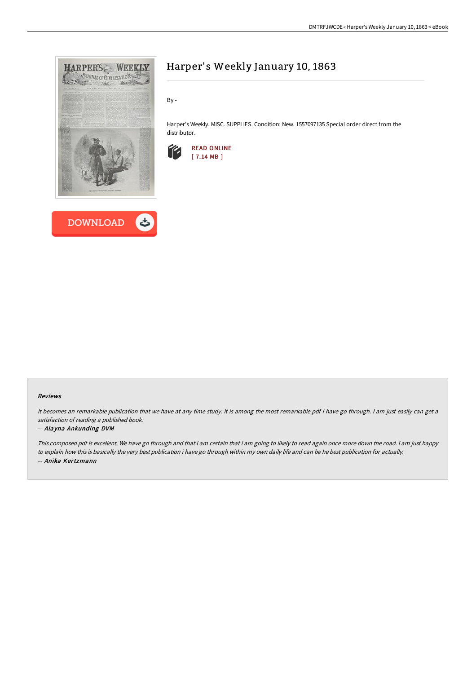



# Harper's Weekly January 10, 1863

By -

Harper's Weekly. MISC. SUPPLIES. Condition: New. 1557097135 Special order direct from the distributor.



#### Reviews

It becomes an remarkable publication that we have at any time study. It is among the most remarkable pdf i have go through. I am just easily can get a satisfaction of reading <sup>a</sup> published book.

#### -- Alayna Ankunding DVM

This composed pdf is excellent. We have go through and that i am certain that i am going to likely to read again once more down the road. <sup>I</sup> am just happy to explain how this is basically the very best publication i have go through within my own daily life and can be he best publication for actually. -- Anika Kertzmann